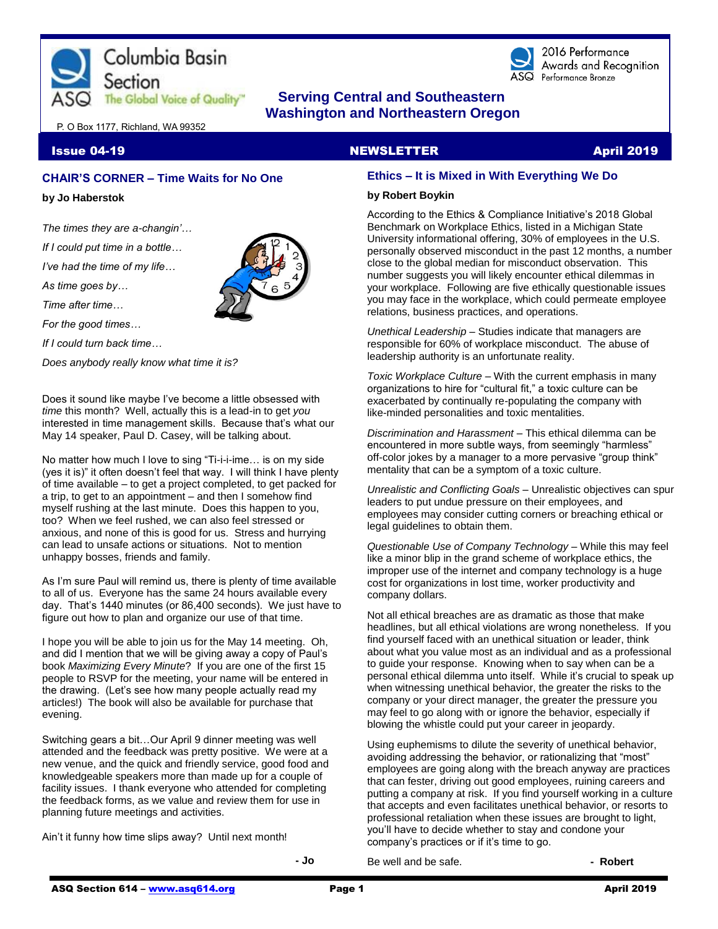



2016 Performance Awards and Recognition Performance Bronze

# **The Global Voice of Quality"** Serving Central and Southeastern  **Washington and Northeastern Oregon**

P. O Box 1177, Richland, WA 99352

**Issue 04-19 NEWSLETTER April 2019** 

# **CHAIR'S CORNER – Time Waits for No One**

**by Jo Haberstok**

*The times they are a-changin'…*

*If I could put time in a bottle…*

*I've had the time of my life…*

*As time goes by…*

*Time after time…*

*For the good times…*

*If I could turn back time…*

*Does anybody really know what time it is?* 

Does it sound like maybe I've become a little obsessed with *time* this month? Well, actually this is a lead-in to get *you*  interested in time management skills. Because that's what our May 14 speaker, Paul D. Casey, will be talking about.

No matter how much I love to sing "Ti-i-i-ime… is on my side (yes it is)" it often doesn't feel that way. I will think I have plenty of time available – to get a project completed, to get packed for a trip, to get to an appointment – and then I somehow find myself rushing at the last minute. Does this happen to you, too? When we feel rushed, we can also feel stressed or anxious, and none of this is good for us. Stress and hurrying can lead to unsafe actions or situations. Not to mention unhappy bosses, friends and family.

As I'm sure Paul will remind us, there is plenty of time available to all of us. Everyone has the same 24 hours available every day. That's 1440 minutes (or 86,400 seconds). We just have to figure out how to plan and organize our use of that time.

I hope you will be able to join us for the May 14 meeting. Oh, and did I mention that we will be giving away a copy of Paul's book *Maximizing Every Minute*? If you are one of the first 15 people to RSVP for the meeting, your name will be entered in the drawing. (Let's see how many people actually read my articles!) The book will also be available for purchase that evening.

Switching gears a bit…Our April 9 dinner meeting was well attended and the feedback was pretty positive. We were at a new venue, and the quick and friendly service, good food and knowledgeable speakers more than made up for a couple of facility issues. I thank everyone who attended for completing the feedback forms, as we value and review them for use in planning future meetings and activities.

Ain't it funny how time slips away? Until next month!

# **Ethics – It is Mixed in With Everything We Do**

#### **by Robert Boykin**

According to the Ethics & Compliance Initiative's 2018 Global Benchmark on Workplace Ethics, listed in a Michigan State University informational offering, 30% of employees in the U.S. personally observed misconduct in the past 12 months, a number close to the global median for misconduct observation. This number suggests you will likely encounter ethical dilemmas in your workplace. Following are five ethically questionable issues you may face in the workplace, which could permeate employee relations, business practices, and operations.

*Unethical Leadership* – Studies indicate that managers are responsible for 60% of workplace misconduct. The abuse of leadership authority is an unfortunate reality.

*Toxic Workplace Culture* – With the current emphasis in many organizations to hire for "cultural fit," a toxic culture can be exacerbated by continually re-populating the company with like-minded personalities and toxic mentalities.

*Discrimination and Harassment* – This ethical dilemma can be encountered in more subtle ways, from seemingly "harmless" off-color jokes by a manager to a more pervasive "group think" mentality that can be a symptom of a toxic culture.

*Unrealistic and Conflicting Goals* – Unrealistic objectives can spur leaders to put undue pressure on their employees, and employees may consider cutting corners or breaching ethical or legal guidelines to obtain them.

*Questionable Use of Company Technology* – While this may feel like a minor blip in the grand scheme of workplace ethics, the improper use of the internet and company technology is a huge cost for organizations in lost time, worker productivity and company dollars.

Not all ethical breaches are as dramatic as those that make headlines, but all ethical violations are wrong nonetheless. If you find yourself faced with an unethical situation or leader, think about what you value most as an individual and as a professional to guide your response. Knowing when to say when can be a personal ethical dilemma unto itself. While it's crucial to speak up when witnessing unethical behavior, the greater the risks to the company or your direct manager, the greater the pressure you may feel to go along with or ignore the behavior, especially if blowing the whistle could put your career in jeopardy.

Using euphemisms to dilute the severity of unethical behavior, avoiding addressing the behavior, or rationalizing that "most" employees are going along with the breach anyway are practices that can fester, driving out good employees, ruining careers and putting a company at risk. If you find yourself working in a culture that accepts and even facilitates unethical behavior, or resorts to professional retaliation when these issues are brought to light, you'll have to decide whether to stay and condone your company's practices or if it's time to go.

Be well and be safe. **- Robert** 

**- Jo**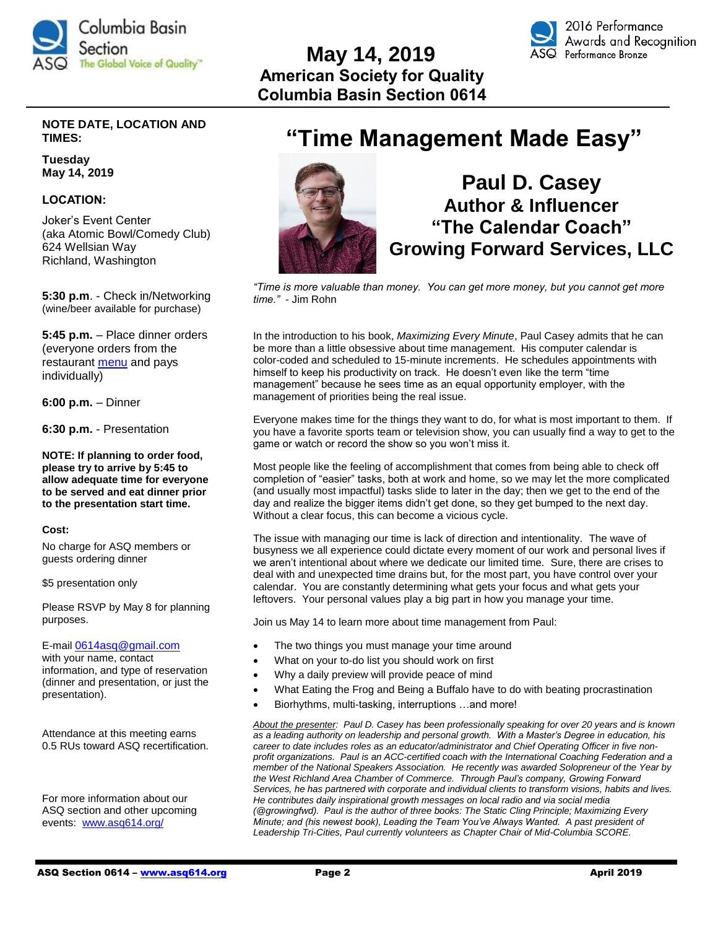

# **May 14, 2019 American Society for Quality Columbia Basin Section 0614**



# **NOTE DATE, LOCATION AND TIMES:**

**Tuesday May 14, 2019**

# **LOCATION:**

Joker's Event Center (aka Atomic Bowl/Comedy Club) 624 Wellsian Way Richland, Washington

**5:30 p.m**. - Check in/Networking (wine/beer available for purchase)

**5:45 p.m.** – Place dinner orders (everyone orders from the restaurant [menu](https://atomicbowl.com/our-menu/) and pays individually)

**6:00 p.m.** – Dinner

**6:30 p.m.** - Presentation

**NOTE: If planning to order food, please try to arrive by 5:45 to allow adequate time for everyone to be served and eat dinner prior to the presentation start time.**

#### **Cost:**

No charge for ASQ members or guests ordering dinner

\$5 presentation only

Please RSVP by May 8 for planning purposes.

E-mail [0614asq@gmail.com](mailto:0614asq@gmail.com) with your name, contact information, and type of reservation (dinner and presentation, or just the presentation).

Attendance at this meeting earns 0.5 RUs toward ASQ recertification.

For more information about our ASQ section and other upcoming events: [www.asq614.org/](http://www.asq614.org/)

# **"Time Management Made Easy"**



# **Paul D. Casey Author & Influencer "The Calendar Coach" Growing Forward Services, LLC**

*"Time is more valuable than money. You can get more money, but you cannot get more time."* - Jim Rohn

In the introduction to his book, *Maximizing Every Minute*, Paul Casey admits that he can be more than a little obsessive about time management. His computer calendar is color-coded and scheduled to 15-minute increments. He schedules appointments with himself to keep his productivity on track. He doesn't even like the term "time management" because he sees time as an equal opportunity employer, with the management of priorities being the real issue.

Everyone makes time for the things they want to do, for what is most important to them. If you have a favorite sports team or television show, you can usually find a way to get to the game or watch or record the show so you won't miss it.

Most people like the feeling of accomplishment that comes from being able to check off completion of "easier" tasks, both at work and home, so we may let the more complicated (and usually most impactful) tasks slide to later in the day; then we get to the end of the day and realize the bigger items didn't get done, so they get bumped to the next day. Without a clear focus, this can become a vicious cycle.

The issue with managing our time is lack of direction and intentionality. The wave of busyness we all experience could dictate every moment of our work and personal lives if we aren't intentional about where we dedicate our limited time. Sure, there are crises to deal with and unexpected time drains but, for the most part, you have control over your calendar. You are constantly determining what gets your focus and what gets your leftovers. Your personal values play a big part in how you manage your time.

Join us May 14 to learn more about time management from Paul:

- The two things you must manage your time around
- What on your to-do list you should work on first
- Why a daily preview will provide peace of mind
- What Eating the Frog and Being a Buffalo have to do with beating procrastination
- Biorhythms, multi-tasking, interruptions …and more!

*About the presenter: Paul D. Casey has been professionally speaking for over 20 years and is known as a leading authority on leadership and personal growth. With a Master's Degree in education, his career to date includes roles as an educator/administrator and Chief Operating Officer in five nonprofit organizations. Paul is an ACC-certified coach with the International Coaching Federation and a member of the National Speakers Association. He recently was awarded Solopreneur of the Year by the West Richland Area Chamber of Commerce. Through Paul's company, Growing Forward Services, he has partnered with corporate and individual clients to transform visions, habits and lives. He contributes daily inspirational growth messages on local radio and via social media (@growingfwd). Paul is the author of three books: The Static Cling Principle; Maximizing Every Minute; and (his newest book), Leading the Team You've Always Wanted. A past president of Leadership Tri-Cities, Paul currently volunteers as Chapter Chair of Mid-Columbia SCORE.*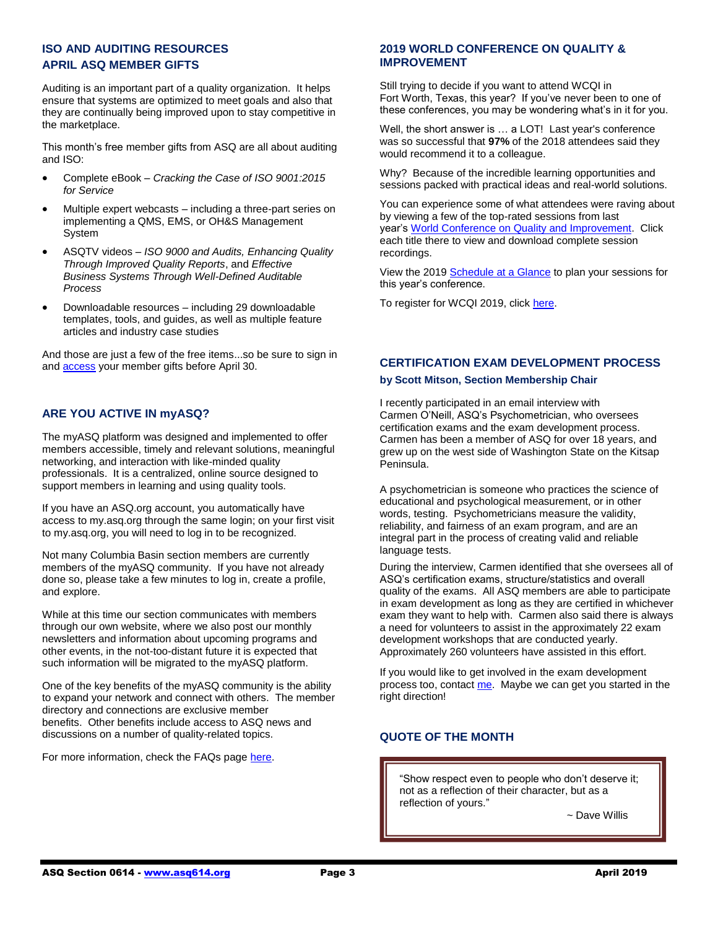# **ISO AND AUDITING RESOURCES APRIL ASQ MEMBER GIFTS**

Auditing is an important part of a quality organization. It helps ensure that systems are optimized to meet goals and also that they are continually being improved upon to stay competitive in the marketplace.

This month's free member gifts from ASQ are all about auditing and ISO:

- Complete eBook *Cracking the Case of ISO 9001:2015 for Service*
- Multiple expert webcasts including a three-part series on implementing a QMS, EMS, or OH&S Management System
- ASQTV videos *ISO 9000 and Audits, Enhancing Quality Through Improved Quality Reports*, and *Effective Business Systems Through Well-Defined Auditable Process*
- Downloadable resources including 29 downloadable templates, tools, and guides, as well as multiple feature articles and industry case studies

And those are just a few of the free items...so be sure to sign in and [access](http://asq.org/membership/members/gift/?utm_source=email) your member gifts before April 30.

# **ARE YOU ACTIVE IN myASQ?**

The myASQ platform was designed and implemented to offer members accessible, timely and relevant solutions, meaningful networking, and interaction with like-minded quality professionals. It is a centralized, online source designed to support members in learning and using quality tools.

If you have an ASQ.org account, you automatically have access to my.asq.org through the same login; on your first visit to my.asq.org, you will need to log in to be recognized.

Not many Columbia Basin section members are currently members of the myASQ community. If you have not already done so, please take a few minutes to log in, create a profile, and explore.

While at this time our section communicates with members through our own website, where we also post our monthly newsletters and information about upcoming programs and other events, in the not-too-distant future it is expected that such information will be migrated to the myASQ platform.

One of the key benefits of the myASQ community is the ability to expand your network and connect with others. The member directory and connections are exclusive member benefits. Other benefits include access to ASQ news and discussions on a number of quality-related topics.

For more information, check the FAQs pag[e here.](https://my.asq.org/faqs)

# **2019 WORLD CONFERENCE ON QUALITY & IMPROVEMENT**

Still trying to decide if you want to attend WCQI in Fort Worth, Texas, this year? If you've never been to one of these conferences, you may be wondering what's in it for you.

Well, the short answer is … a LOT! Last year's conference was so successful that **97%** of the 2018 attendees said they would recommend it to a colleague.

Why? Because of the incredible learning opportunities and sessions packed with practical ideas and real-world solutions.

You can experience some of what attendees were raving about by viewing a few of the top-rated sessions from last year's [World Conference on Quality and Improvement.](http://send.asq.org/link.cfm?r=O4fm4FESIoti18Gkq1PUMw~~&pe=pmban8CAhmnD_XRxfRkKn1F3VnYPdjWAmrvERhJdIeBFswNmdrfoBxOUePWLtvvdVul7MgTJ-jniJaON5P-ALw~~&t=H1PvpTnr_cCj7j50KOd4-Q~~) Click each title there to view and download complete session recordings.

View the 201[9 Schedule at a Glance](http://send.asq.org/link.cfm?r=O4fm4FESIoti18Gkq1PUMw~~&pe=lahe5KxM3cxhsuguKWOv2q1mysaspLqCK1TB5I8x53GHPhTdWJYa5zJAY1NvMJ8znOq1HHTZ-6Zj8sZ5pb-NnA~~&t=H1PvpTnr_cCj7j50KOd4-Q~~) to plan your sessions for this year's conference.

To register for WCQI 2019, clic[k here.](https://www.eventscribe.com/2019/ASQ-World/agenda.asp?pfp=FullSchedule)

# **CERTIFICATION EXAM DEVELOPMENT PROCESS**

#### **by Scott Mitson, Section Membership Chair**

I recently participated in an email interview with Carmen O'Neill, ASQ's Psychometrician, who oversees certification exams and the exam development process. Carmen has been a member of ASQ for over 18 years, and grew up on the west side of Washington State on the Kitsap Peninsula.

A psychometrician is someone who practices the science of educational and psychological measurement, or in other words, testing. Psychometricians measure the validity, reliability, and fairness of an exam program, and are an integral part in the process of creating valid and reliable language tests.

During the interview, Carmen identified that she oversees all of ASQ's certification exams, structure/statistics and overall quality of the exams. All ASQ members are able to participate in exam development as long as they are certified in whichever exam they want to help with. Carmen also said there is always a need for volunteers to assist in the approximately 22 exam development workshops that are conducted yearly. Approximately 260 volunteers have assisted in this effort.

If you would like to get involved in the exam development process too, contact [me.](mailto:scottcmitson@gmail.com) Maybe we can get you started in the right direction!

# **QUOTE OF THE MONTH**

"Show respect even to people who don't deserve it; not as a reflection of their character, but as a reflection of yours."

~ John Robert Wooden

~ Dave Willis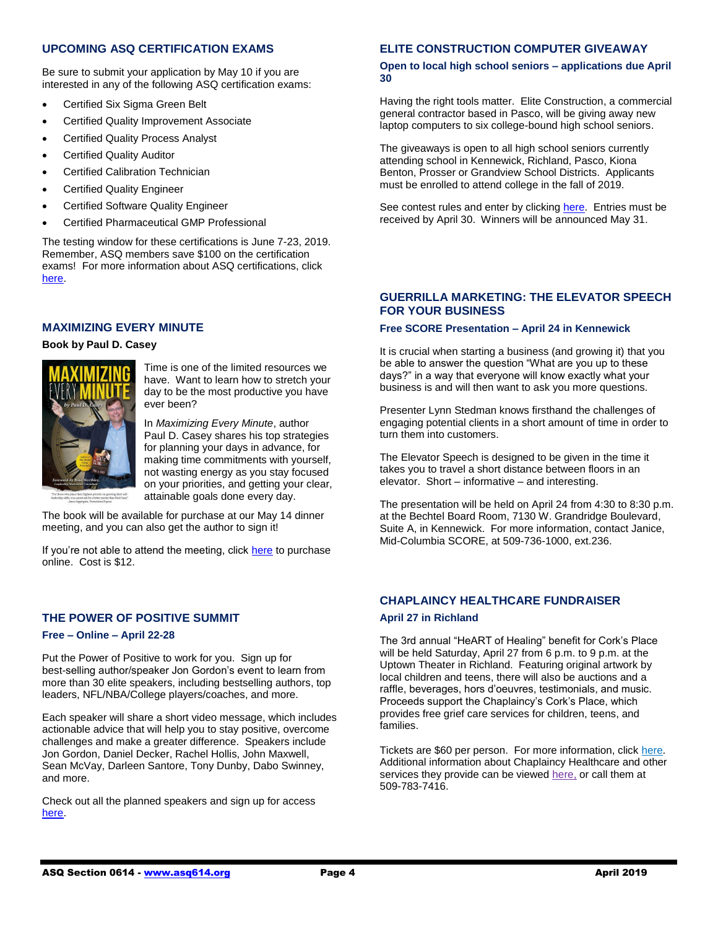# **UPCOMING ASQ CERTIFICATION EXAMS**

Be sure to submit your application by May 10 if you are interested in any of the following ASQ certification exams:

- Certified Six Sigma Green Belt
- Certified Quality Improvement Associate
- Certified Quality Process Analyst
- Certified Quality Auditor
- Certified Calibration Technician
- Certified Quality Engineer
- Certified Software Quality Engineer
- Certified Pharmaceutical GMP Professional

The testing window for these certifications is June 7-23, 2019. Remember, ASQ members save \$100 on the certification exams! For more information about ASQ certifications, click [here.](https://asq.org/cert?utm_source=email&utm_medium=email&utm_campaign=certification_computerbased_120418)

## **MAXIMIZING EVERY MINUTE**

#### **Book by Paul D. Casey**



Time is one of the limited resources we have. Want to learn how to stretch your day to be the most productive you have ever been?

In *Maximizing Every Minute*, author Paul D. Casey shares his top strategies for planning your days in advance, for making time commitments with yourself, not wasting energy as you stay focused on your priorities, and getting your clear, attainable goals done every day.

The book will be available for purchase at our May 14 dinner meeting, and you can also get the author to sign it!

If you're not able to attend the meeting, click [here](https://www.paulcasey.org/maximizing-every-minute/) to purchase online. Cost is \$12.

## **THE POWER OF POSITIVE SUMMIT**

#### **Free – Online – April 22-28**

Put the Power of Positive to work for you. Sign up for best-selling author/speaker Jon Gordon's event to learn from more than 30 elite speakers, including bestselling authors, top leaders, NFL/NBA/College players/coaches, and more.

Each speaker will share a short video message, which includes actionable advice that will help you to stay positive, overcome challenges and make a greater difference. Speakers include Jon Gordon, Daniel Decker, Rachel Hollis, John Maxwell, Sean McVay, Darleen Santore, Tony Dunby, Dabo Swinney, and more.

Check out all the planned speakers and sign up for access [here.](http://powerofpositivesummit.com/)

# **ELITE CONSTRUCTION COMPUTER GIVEAWAY**

#### **Open to local high school seniors – applications due April 30**

Having the right tools matter. Elite Construction, a commercial general contractor based in Pasco, will be giving away new laptop computers to six college-bound high school seniors.

The giveaways is open to all high school seniors currently attending school in Kennewick, Richland, Pasco, Kiona Benton, Prosser or Grandview School Districts. Applicants must be enrolled to attend college in the fall of 2019.

See contest rules and enter by clickin[g here.](https://elitecnd.com/giveaway/) Entries must be received by April 30. Winners will be announced May 31.

#### **GUERRILLA MARKETING: THE ELEVATOR SPEECH FOR YOUR BUSINESS**

#### **Free SCORE Presentation – April 24 in Kennewick**

It is crucial when starting a business (and growing it) that you be able to answer the question "What are you up to these days?" in a way that everyone will know exactly what your business is and will then want to ask you more questions.

Presenter Lynn Stedman knows firsthand the challenges of engaging potential clients in a short amount of time in order to turn them into customers.

The Elevator Speech is designed to be given in the time it takes you to travel a short distance between floors in an elevator. Short – informative – and interesting.

The presentation will be held on April 24 from 4:30 to 8:30 p.m. at the Bechtel Board Room, 7130 W. Grandridge Boulevard, Suite A, in Kennewick. For more information, contact Janice, Mid-Columbia SCORE, at 509-736-1000, ext.236.

# **CHAPLAINCY HEALTHCARE FUNDRAISER April 27 in Richland**

The 3rd annual "HeART of Healing" benefit for Cork's Place will be held Saturday, April 27 from 6 p.m. to 9 p.m. at the Uptown Theater in Richland. Featuring original artwork by local children and teens, there will also be auctions and a raffle, beverages, hors d'oeuvres, testimonials, and music. Proceeds support the Chaplaincy's Cork's Place, which provides free grief care services for children, teens, and families.

Tickets are \$60 per person. For more information, click [here.](https://chaplaincyhealthcare.org/event/heartofhealing2019/) Additional information about Chaplaincy Healthcare and other services they provide can be viewed [here,](https://chaplaincyhealthcare.org/about-chaplaincy/) or call them at 509-783-7416.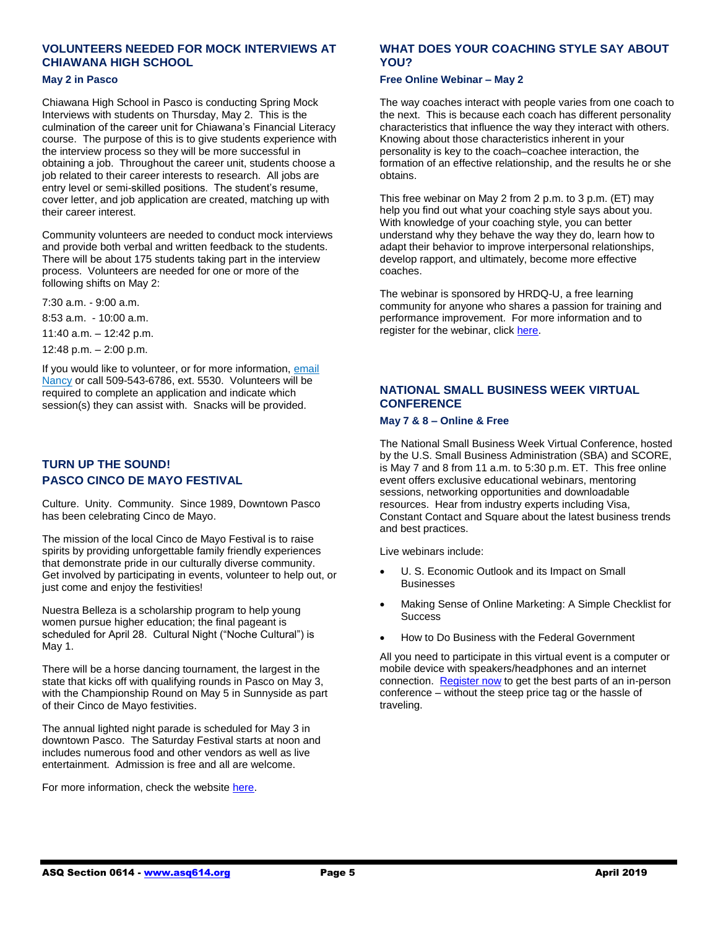# **VOLUNTEERS NEEDED FOR MOCK INTERVIEWS AT CHIAWANA HIGH SCHOOL**

#### **May 2 in Pasco**

Chiawana High School in Pasco is conducting Spring Mock Interviews with students on Thursday, May 2. This is the culmination of the career unit for Chiawana's Financial Literacy course. The purpose of this is to give students experience with the interview process so they will be more successful in obtaining a job. Throughout the career unit, students choose a job related to their career interests to research. All jobs are entry level or semi-skilled positions. The student's resume, cover letter, and job application are created, matching up with their career interest.

Community volunteers are needed to conduct mock interviews and provide both verbal and written feedback to the students. There will be about 175 students taking part in the interview process. Volunteers are needed for one or more of the following shifts on May 2:

7:30 a.m. - 9:00 a.m.

8:53 a.m. - 10:00 a.m.

11:40 a.m. – 12:42 p.m.

12:48 p.m. – 2:00 p.m.

If you would like to volunteer, or for more information[, email](mailto:NMartin@psd1.org)  [Nancy](mailto:NMartin@psd1.org) or call 509-543-6786, ext. 5530. Volunteers will be required to complete an application and indicate which session(s) they can assist with. Snacks will be provided.

# **TURN UP THE SOUND! PASCO CINCO DE MAYO FESTIVAL**

Culture. Unity. Community. Since 1989, Downtown Pasco has been celebrating Cinco de Mayo.

The mission of the local Cinco de Mayo Festival is to raise spirits by providing unforgettable family friendly experiences that demonstrate pride in our culturally diverse community. Get involved by participating in events, volunteer to help out, or just come and enjoy the festivities!

Nuestra Belleza is a scholarship program to help young women pursue higher education; the final pageant is scheduled for April 28. Cultural Night ("Noche Cultural") is May 1.

There will be a horse dancing tournament, the largest in the state that kicks off with qualifying rounds in Pasco on May 3, with the Championship Round on May 5 in Sunnyside as part of their Cinco de Mayo festivities.

The annual lighted night parade is scheduled for May 3 in downtown Pasco. The Saturday Festival starts at noon and includes numerous food and other vendors as well as live entertainment. Admission is free and all are welcome.

For more information, check the website [here.](https://www.pasco5demayo.com/?fbclid=IwAR3qHh1WieIJXf4CrvDxjg0inMwGPuCu8x8BVb5ujTsSvz7By5IOmByvpPo)

# **WHAT DOES YOUR COACHING STYLE SAY ABOUT YOU?**

#### **Free Online Webinar – May 2**

The way coaches interact with people varies from one coach to the next. This is because each coach has different personality characteristics that influence the way they interact with others. Knowing about those characteristics inherent in your personality is key to the coach–coachee interaction, the formation of an effective relationship, and the results he or she obtains.

This free webinar on May 2 from 2 p.m. to 3 p.m. (ET) may help you find out what your coaching style says about you. With knowledge of your coaching style, you can better understand why they behave the way they do, learn how to adapt their behavior to improve interpersonal relationships, develop rapport, and ultimately, become more effective coaches.

The webinar is sponsored by HRDQ-U, a free learning community for anyone who shares a passion for training and performance improvement. For more information and to register for the webinar, click [here.](https://www.hrdqu.com/webinars/what-does-your-coaching-style-say/?utm_source=HRDQ-U+Master+List&utm_campaign=c9d92d22a0-05-02-19-webinar-coaching-style-30day&utm_medium=email&utm_term=0_63f496e698-c9d92d22a0-291255373)

## **NATIONAL SMALL BUSINESS WEEK VIRTUAL CONFERENCE**

#### **May 7 & 8 – Online & Free**

The National Small Business Week Virtual Conference, hosted by the U.S. Small Business Administration (SBA) and SCORE, is May 7 and 8 from 11 a.m. to 5:30 p.m. ET. This free online event offers exclusive educational webinars, mentoring sessions, networking opportunities and downloadable resources. Hear from industry experts including Visa, Constant Contact and Square about the latest business trends and best practices.

Live webinars include:

- U. S. Economic Outlook and its Impact on Small Businesses
- Making Sense of Online Marketing: A Simple Checklist for **Success**
- How to Do Business with the Federal Government

All you need to participate in this virtual event is a computer or mobile device with speakers/headphones and an internet connection. [Register now](https://onlinexperiences.com/scripts/Server.nxp?LASCmd=AI:4;F:QS!10100&ShowUUID=2642B218-6A61-45B1-9C4C-AA3FFC96BC68&AffiliateData=StandAloneEmail1) to get the best parts of an in-person conference – without the steep price tag or the hassle of traveling.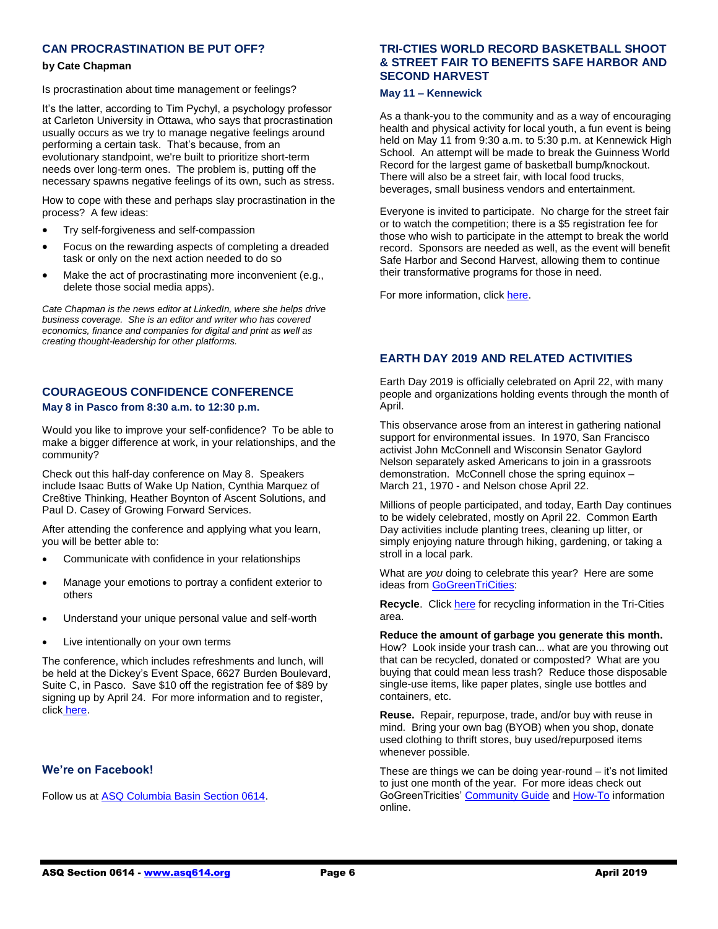# **CAN PROCRASTINATION BE PUT OFF?**

#### **by Cate Chapman**

Is procrastination about time management or feelings?

It's the latter, according to Tim Pychyl, a psychology professor at Carleton University in Ottawa, who says that procrastination usually occurs as we try to manage negative feelings around performing a certain task. That's because, from an evolutionary standpoint, we're built to prioritize short-term needs over long-term ones. The problem is, putting off the necessary spawns negative feelings of its own, such as stress.

How to cope with these and perhaps slay procrastination in the process? A few ideas:

- Try self-forgiveness and self-compassion
- Focus on the rewarding aspects of completing a dreaded task or only on the next action needed to do so
- Make the act of procrastinating more inconvenient (e.g., delete those social media apps).

*Cate Chapman is the news editor at LinkedIn, where she helps drive business coverage. She is an editor and writer who has covered economics, finance and companies for digital and print as well as creating thought-leadership for other platforms.*

# **COURAGEOUS CONFIDENCE CONFERENCE May 8 in Pasco from 8:30 a.m. to 12:30 p.m.**

Would you like to improve your self-confidence? To be able to make a bigger difference at work, in your relationships, and the community?

Check out this half-day conference on May 8. Speakers include Isaac Butts of Wake Up Nation, Cynthia Marquez of Cre8tive Thinking, Heather Boynton of Ascent Solutions, and Paul D. Casey of Growing Forward Services.

After attending the conference and applying what you learn, you will be better able to:

- Communicate with confidence in your relationships
- Manage your emotions to portray a confident exterior to others
- Understand your unique personal value and self-worth
- Live intentionally on your own terms

The conference, which includes refreshments and lunch, will be held at the Dickey's Event Space, 6627 Burden Boulevard, Suite C, in Pasco. Save \$10 off the registration fee of \$89 by signing up by April 24. For more information and to register, click [here.](https://www.paulcasey.org/)

#### **We're on Facebook!**

Follow us a[t ASQ Columbia Basin Section 0614.](https://www.facebook.com/ASQ-Columbia-Basin-Section-0614-2182648981975168/)

# **TRI-CTIES WORLD RECORD BASKETBALL SHOOT & STREET FAIR TO BENEFITS SAFE HARBOR AND SECOND HARVEST**

#### **May 11 – Kennewick**

As a thank-you to the community and as a way of encouraging health and physical activity for local youth, a fun event is being held on May 11 from 9:30 a.m. to 5:30 p.m. at Kennewick High School. An attempt will be made to break the Guinness World Record for the largest game of basketball bump/knockout. There will also be a street fair, with local food trucks, beverages, small business vendors and entertainment.

Everyone is invited to participate. No charge for the street fair or to watch the competition; there is a \$5 registration fee for those who wish to participate in the attempt to break the world record. Sponsors are needed as well, as the event will benefit Safe Harbor and Second Harvest, allowing them to continue their transformative programs for those in need.

For more information, clic[k here.](https://www.curveshark.com/worldrecord?fbclid=IwAR2L3avbSbkYmfodTIdfsB-e07rlPagAiJcyYpsJdKA0TNvqx-CorkO9QTs)

# **EARTH DAY 2019 AND RELATED ACTIVITIES**

Earth Day 2019 is officially celebrated on April 22, with many people and organizations holding events through the month of April.

This observance arose from an interest in gathering national support for environmental issues. In 1970, San Francisco activist John McConnell and Wisconsin Senator Gaylord Nelson separately asked Americans to join in a grassroots demonstration. McConnell chose the spring equinox – March 21, 1970 - and Nelson chose April 22.

Millions of people participated, and today, Earth Day continues to be widely celebrated, mostly on April 22. Common Earth Day activities include planting trees, cleaning up litter, or simply enjoying nature through hiking, gardening, or taking a stroll in a local park.

What are *you* doing to celebrate this year? Here are some ideas fro[m GoGreenTriCities:](http://gogreentricities.org/index.php)

**Recycle**. Clic[k here](http://gogreentricities.org/index.php/community/106-recycling) for recycling information in the Tri-Cities area.

**Reduce the amount of garbage you generate this month.** How? Look inside your trash can... what are you throwing out that can be recycled, donated or composted? What are you buying that could mean less trash? Reduce those disposable single-use items, like paper plates, single use bottles and containers, etc.

**Reuse.** Repair, repurpose, trade, and/or buy with reuse in mind. Bring your own bag (BYOB) when you shop, donate used clothing to thrift stores, buy used/repurposed items whenever possible.

These are things we can be doing year-round – it's not limited to just one month of the year. For more ideas check out GoGreenTricities[' Community Guide](http://gogreentricities.org/index.php/community) an[d How-To](http://gogreentricities.org/index.php/how-to) information online.